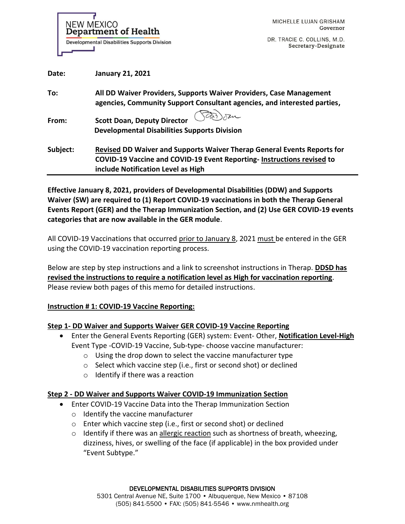**NEW MEXICO** Department of Health **Developmental Disabilities Supports Division** 

DR. TRACIE C. COLLINS, M.D. Secretary-Designate

| Date:    | <b>January 21, 2021</b>                                                                                                                                                                |
|----------|----------------------------------------------------------------------------------------------------------------------------------------------------------------------------------------|
| To:      | All DD Waiver Providers, Supports Waiver Providers, Case Management<br>agencies, Community Support Consultant agencies, and interested parties,                                        |
| From:    | <b>Scott Doan, Deputy Director</b><br><b>Developmental Disabilities Supports Division</b>                                                                                              |
| Subject: | Revised DD Waiver and Supports Waiver Therap General Events Reports for<br>COVID-19 Vaccine and COVID-19 Event Reporting-Instructions revised to<br>include Notification Level as High |

**Effective January 8, 2021, providers of Developmental Disabilities (DDW) and Supports Waiver (SW) are required to (1) Report COVID-19 vaccinations in both the Therap General Events Report (GER) and the Therap Immunization Section, and (2) Use GER COVID-19 events categories that are now available in the GER module**.

All COVID-19 Vaccinations that occurred prior to January 8, 2021 must be entered in the GER using the COVID-19 vaccination reporting process.

Below are step by step instructions and a link to screenshot instructions in Therap. **DDSD has revised the instructions to require a notification level as High for vaccination reporting**. Please review both pages of this memo for detailed instructions.

## **Instruction # 1: COVID-19 Vaccine Reporting:**

## **Step 1- DD Waiver and Supports Waiver GER COVID-19 Vaccine Reporting**

- Enter the General Events Reporting (GER) system: Event- Other, **Notification Level-High** Event Type -COVID-19 Vaccine, Sub-type- choose vaccine manufacturer:
	- o Using the drop down to select the vaccine manufacturer type
	- o Select which vaccine step (i.e., first or second shot) or declined
	- $\circ$  Identify if there was a reaction

## **Step 2 - DD Waiver and Supports Waiver COVID-19 Immunization Section**

- Enter COVID-19 Vaccine Data into the Therap Immunization Section
	- o Identify the vaccine manufacturer
	- o Enter which vaccine step (i.e., first or second shot) or declined
	- $\circ$  Identify if there was an allergic reaction such as shortness of breath, wheezing, dizziness, hives, or swelling of the face (if applicable) in the box provided under "Event Subtype."